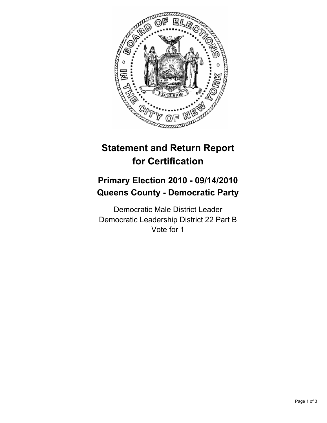

# **Statement and Return Report for Certification**

## **Primary Election 2010 - 09/14/2010 Queens County - Democratic Party**

Democratic Male District Leader Democratic Leadership District 22 Part B Vote for 1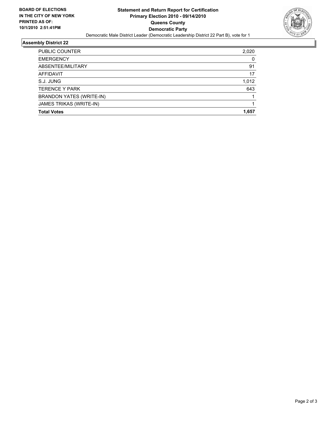

### **Assembly District 22**

| PUBLIC COUNTER                  | 2,020 |
|---------------------------------|-------|
| <b>EMERGENCY</b>                | 0     |
| ABSENTEE/MILITARY               | 91    |
| <b>AFFIDAVIT</b>                | 17    |
| S.J. JUNG                       | 1,012 |
| <b>TERENCE Y PARK</b>           | 643   |
| <b>BRANDON YATES (WRITE-IN)</b> |       |
| JAMES TRIKAS (WRITE-IN)         |       |
| <b>Total Votes</b>              | 1.657 |
|                                 |       |